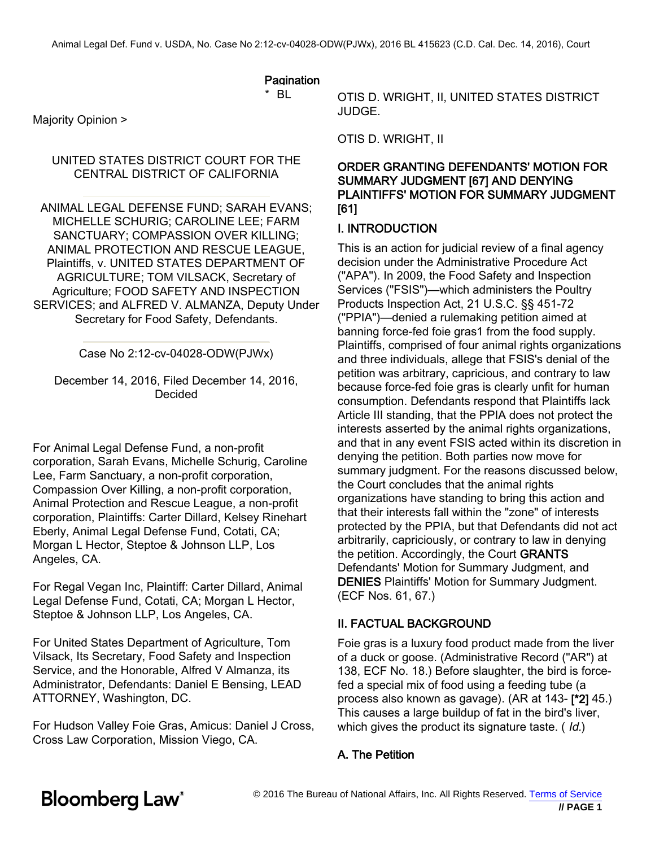## **Pagination**

\* BL

Majority Opinion >

#### UNITED STATES DISTRICT COURT FOR THE CENTRAL DISTRICT OF CALIFORNIA

ANIMAL LEGAL DEFENSE FUND; SARAH EVANS; MICHELLE SCHURIG; CAROLINE LEE; FARM SANCTUARY; COMPASSION OVER KILLING; ANIMAL PROTECTION AND RESCUE LEAGUE, Plaintiffs, v. UNITED STATES DEPARTMENT OF AGRICULTURE; TOM VILSACK, Secretary of Agriculture; FOOD SAFETY AND INSPECTION SERVICES; and ALFRED V. ALMANZA, Deputy Under Secretary for Food Safety, Defendants.

#### Case No 2:12-cv-04028-ODW(PJWx)

December 14, 2016, Filed December 14, 2016, Decided

For Animal Legal Defense Fund, a non-profit corporation, Sarah Evans, Michelle Schurig, Caroline Lee, Farm Sanctuary, a non-profit corporation, Compassion Over Killing, a non-profit corporation, Animal Protection and Rescue League, a non-profit corporation, Plaintiffs: Carter Dillard, Kelsey Rinehart Eberly, Animal Legal Defense Fund, Cotati, CA; Morgan L Hector, Steptoe & Johnson LLP, Los Angeles, CA.

For Regal Vegan Inc, Plaintiff: Carter Dillard, Animal Legal Defense Fund, Cotati, CA; Morgan L Hector, Steptoe & Johnson LLP, Los Angeles, CA.

For United States Department of Agriculture, Tom Vilsack, Its Secretary, Food Safety and Inspection Service, and the Honorable, Alfred V Almanza, its Administrator, Defendants: Daniel E Bensing, LEAD ATTORNEY, Washington, DC.

For Hudson Valley Foie Gras, Amicus: Daniel J Cross, Cross Law Corporation, Mission Viego, CA.

OTIS D. WRIGHT, II, UNITED STATES DISTRICT JUDGE.

OTIS D. WRIGHT, II

#### ORDER GRANTING DEFENDANTS' MOTION FOR SUMMARY JUDGMENT [67] AND DENYING PLAINTIFFS' MOTION FOR SUMMARY JUDGMENT [61]

#### I. INTRODUCTION

This is an action for judicial review of a final agency decision under the Administrative Procedure Act ("APA"). In 2009, the Food Safety and Inspection Services ("FSIS")—which administers the Poultry Products Inspection Act, 21 U.S.C. §§ 451-72 ("PPIA")—denied a rulemaking petition aimed at banning force-fed foie gras1 from the food supply. Plaintiffs, comprised of four animal rights organizations and three individuals, allege that FSIS's denial of the petition was arbitrary, capricious, and contrary to law because force-fed foie gras is clearly unfit for human consumption. Defendants respond that Plaintiffs lack Article III standing, that the PPIA does not protect the interests asserted by the animal rights organizations, and that in any event FSIS acted within its discretion in denying the petition. Both parties now move for summary judgment. For the reasons discussed below, the Court concludes that the animal rights organizations have standing to bring this action and that their interests fall within the "zone" of interests protected by the PPIA, but that Defendants did not act arbitrarily, capriciously, or contrary to law in denying the petition. Accordingly, the Court GRANTS Defendants' Motion for Summary Judgment, and DENIES Plaintiffs' Motion for Summary Judgment. (ECF Nos. 61, 67.)

## II. FACTUAL BACKGROUND

Foie gras is a luxury food product made from the liver of a duck or goose. (Administrative Record ("AR") at 138, ECF No. 18.) Before slaughter, the bird is forcefed a special mix of food using a feeding tube (a process also known as gavage). (AR at 143- [\*2] 45.) This causes a large buildup of fat in the bird's liver, which gives the product its signature taste. (Id.)

### A. The Petition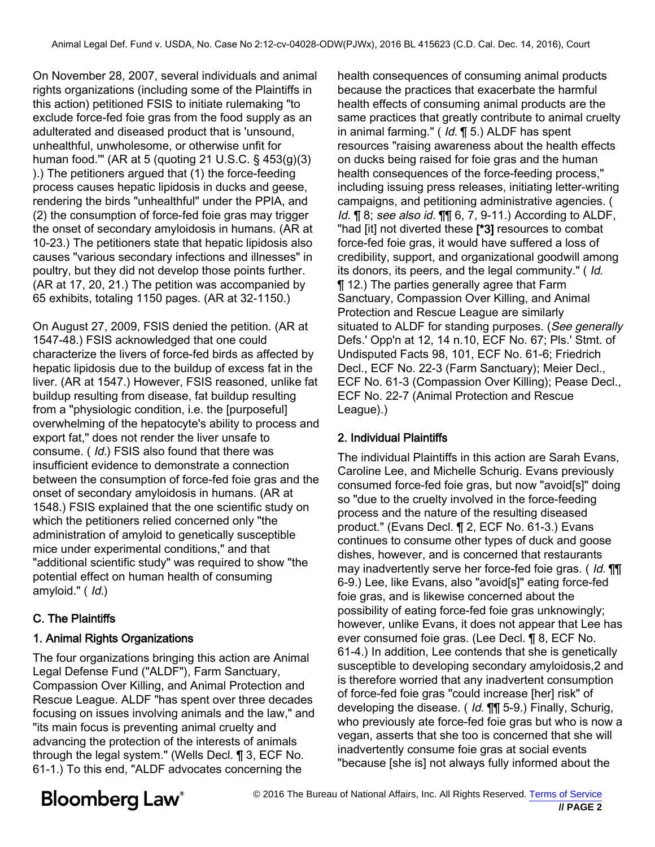On November 28, 2007, several individuals and animal rights organizations (including some of the Plaintiffs in this action) petitioned FSIS to initiate rulemaking "to exclude force-fed foie gras from the food supply as an adulterated and diseased product that is 'unsound, unhealthful, unwholesome, or otherwise unfit for human food."' (AR at 5 (quoting 21 U.S.C.  $\S$  453(g)(3) ).) The petitioners argued that (1) the force-feeding process causes hepatic lipidosis in ducks and geese, rendering the birds "unhealthful" under the PPIA, and (2) the consumption of force-fed foie gras may trigger the onset of secondary amyloidosis in humans. (AR at 10-23.) The petitioners state that hepatic lipidosis also causes "various secondary infections and illnesses" in poultry, but they did not develop those points further. (AR at 17, 20, 21.) The petition was accompanied by 65 exhibits, totaling 1150 pages. (AR at 32-1150.)

On August 27, 2009, FSIS denied the petition. (AR at 1547-48.) FSIS acknowledged that one could characterize the livers of force-fed birds as affected by hepatic lipidosis due to the buildup of excess fat in the liver. (AR at 1547.) However, FSIS reasoned, unlike fat buildup resulting from disease, fat buildup resulting from a "physiologic condition, i.e. the [purposeful] overwhelming of the hepatocyte's ability to process and export fat," does not render the liver unsafe to consume. ( Id.) FSIS also found that there was insufficient evidence to demonstrate a connection between the consumption of force-fed foie gras and the onset of secondary amyloidosis in humans. (AR at 1548.) FSIS explained that the one scientific study on which the petitioners relied concerned only "the administration of amyloid to genetically susceptible mice under experimental conditions," and that "additional scientific study" was required to show "the potential effect on human health of consuming amyloid." ( Id.)

## C. The Plaintiffs

## 1. Animal Rights Organizations

The four organizations bringing this action are Animal Legal Defense Fund ("ALDF"), Farm Sanctuary, Compassion Over Killing, and Animal Protection and Rescue League. ALDF "has spent over three decades focusing on issues involving animals and the law," and "its main focus is preventing animal cruelty and advancing the protection of the interests of animals through the legal system." (Wells Decl. ¶ 3, ECF No. 61-1.) To this end, "ALDF advocates concerning the

health consequences of consuming animal products because the practices that exacerbate the harmful health effects of consuming animal products are the same practices that greatly contribute to animal cruelty in animal farming." ( Id. ¶ 5.) ALDF has spent resources "raising awareness about the health effects on ducks being raised for foie gras and the human health consequences of the force-feeding process," including issuing press releases, initiating letter-writing campaigns, and petitioning administrative agencies. ( Id. ¶ 8; see also id. ¶¶ 6, 7, 9-11.) According to ALDF, "had [it] not diverted these [<sup>\*</sup>3] resources to combat force-fed foie gras, it would have suffered a loss of credibility, support, and organizational goodwill among its donors, its peers, and the legal community." ( Id. ¶ 12.) The parties generally agree that Farm Sanctuary, Compassion Over Killing, and Animal Protection and Rescue League are similarly situated to ALDF for standing purposes. (See generally Defs.' Opp'n at 12, 14 n.10, ECF No. 67; Pls.' Stmt. of Undisputed Facts 98, 101, ECF No. 61-6; Friedrich Decl., ECF No. 22-3 (Farm Sanctuary); Meier Decl., ECF No. 61-3 (Compassion Over Killing); Pease Decl., ECF No. 22-7 (Animal Protection and Rescue League).)

## 2. Individual Plaintiffs

The individual Plaintiffs in this action are Sarah Evans, Caroline Lee, and Michelle Schurig. Evans previously consumed force-fed foie gras, but now "avoid[s]" doing so "due to the cruelty involved in the force-feeding process and the nature of the resulting diseased product." (Evans Decl. ¶ 2, ECF No. 61-3.) Evans continues to consume other types of duck and goose dishes, however, and is concerned that restaurants may inadvertently serve her force-fed foie gras. (*Id.* **[15]** 6-9.) Lee, like Evans, also "avoid[s]" eating force-fed foie gras, and is likewise concerned about the possibility of eating force-fed foie gras unknowingly; however, unlike Evans, it does not appear that Lee has ever consumed foie gras. (Lee Decl. ¶ 8, ECF No. 61-4.) In addition, Lee contends that she is genetically susceptible to developing secondary amyloidosis,2 and is therefore worried that any inadvertent consumption of force-fed foie gras "could increase [her] risk" of developing the disease. (*Id.* **¶¶** 5-9.) Finally, Schurig, who previously ate force-fed foie gras but who is now a vegan, asserts that she too is concerned that she will inadvertently consume foie gras at social events "because [she is] not always fully informed about the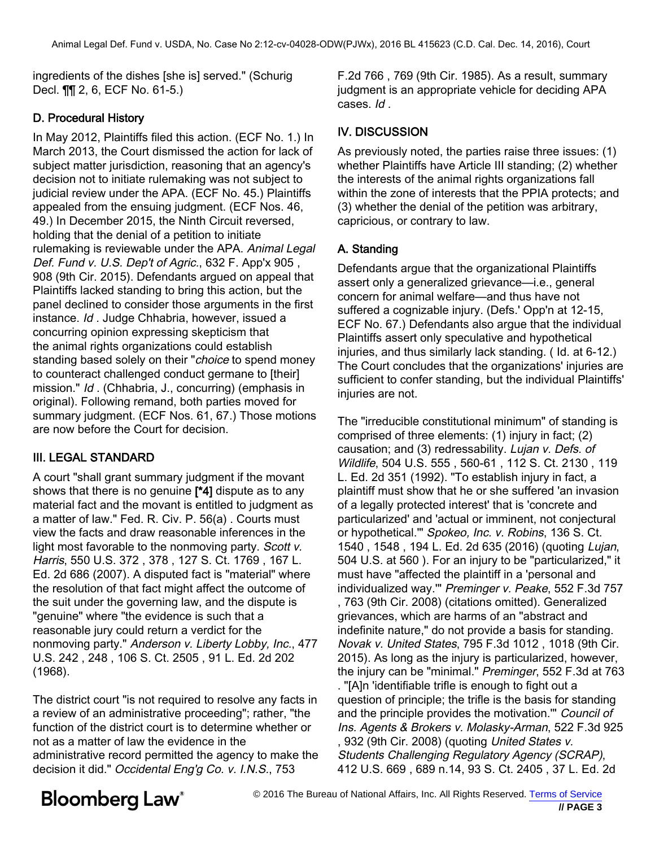ingredients of the dishes [she is] served." (Schurig Decl. ¶¶ 2, 6, ECF No. 61-5.)

#### D. Procedural History

In May 2012, Plaintiffs filed this action. (ECF No. 1.) In March 2013, the Court dismissed the action for lack of subject matter jurisdiction, reasoning that an agency's decision not to initiate rulemaking was not subject to judicial review under the APA. (ECF No. 45.) Plaintiffs appealed from the ensuing judgment. (ECF Nos. 46, 49.) In December 2015, the Ninth Circuit reversed, holding that the denial of a petition to initiate rulemaking is reviewable under the APA. Animal Legal Def. Fund v. U.S. Dep't of Agric., 632 F. App'x 905, Defendants argued on appeal that Plaintiffs lacked standing to bring this action, but the panel declined to consider those arguments in the first instance. Id . Judge Chhabria, however, issued a concurring opinion expressing skepticism that the animal rights organizations could establish standing based solely on their "*choice* to spend money to counteract challenged conduct germane to [their] mission." Id . (Chhabria, J., concurring) (emphasis in original). Following remand, both parties moved for summary judgment. (ECF Nos. 61, 67.) Those motions are now before the Court for decision.

### III. LEGAL STANDARD

A court "shall grant summary judgment if the movant shows that there is no genuine [\*4] dispute as to any material fact and the movant is entitled to judgment as a matter of law." Fed. R. Civ. P. 56(a) . Courts must view the facts and draw reasonable inferences in the light most favorable to the nonmoving party. Scott v. Harris, 550 U.S. 372 , 378 , 127 S. Ct. 1769 , 167 L. Ed. 2d 686 (2007). A disputed fact is "material" where the resolution of that fact might affect the outcome of the suit under the governing law, and the dispute is "genuine" where "the evidence is such that a reasonable jury could return a verdict for the nonmoving party." Anderson v. Liberty Lobby, Inc., 477 U.S. 242 , 248 , 106 S. Ct. 2505 , 91 L. Ed. 2d 202 (1968).

The district court "is not required to resolve any facts in a review of an administrative proceeding"; rather, "the function of the district court is to determine whether or not as a matter of law the evidence in the administrative record permitted the agency to make the decision it did." Occidental Eng'g Co. v. I.N.S., 753

F.2d 766 , 769 (9th Cir. 1985). As a result, summary judgment is an appropriate vehicle for deciding APA cases. Id .

## IV. DISCUSSION

As previously noted, the parties raise three issues: (1) whether Plaintiffs have Article III standing; (2) whether the interests of the animal rights organizations fall within the zone of interests that the PPIA protects; and (3) whether the denial of the petition was arbitrary, capricious, or contrary to law.

## A. Standing

Defendants argue that the organizational Plaintiffs assert only a generalized grievance—i.e., general concern for animal welfare—and thus have not suffered a cognizable injury. (Defs.' Opp'n at 12-15, ECF No. 67.) Defendants also argue that the individual Plaintiffs assert only speculative and hypothetical injuries, and thus similarly lack standing. ( Id. at 6-12.) The Court concludes that the organizations' injuries are sufficient to confer standing, but the individual Plaintiffs' injuries are not.

The "irreducible constitutional minimum" of standing is comprised of three elements: (1) injury in fact; (2) causation; and (3) redressability. Lujan v. Defs. of Wildlife, 504 U.S. 555 , 560-61 , 112 S. Ct. 2130 , 119 L. Ed. 2d 351 (1992). "To establish injury in fact, a plaintiff must show that he or she suffered 'an invasion of a legally protected interest' that is 'concrete and particularized' and 'actual or imminent, not conjectural or hypothetical." Spokeo, Inc. v. Robins, 136 S. Ct. 1540, 1548, 194 L. Ed. 2d 635 (2016) (quoting Lujan,<br>504 U.S. at 560). For an injury to be "particularized," it must have "affected the plaintiff in a 'personal and individualized way.'" Preminger v. Peake, 552 F.3d 757 , 763 (9th Cir. 2008) (citations omitted). Generalized grievances, which are harms of an "abstract and indefinite nature," do not provide a basis for standing. Novak v. United States, 795 F.3d 1012 , 1018 (9th Cir. 2015). As long as the injury is particularized, however, the injury can be "minimal." Preminger, 552 F.3d at 763

. "[A]n 'identifiable trifle is enough to fight out a question of principle; the trifle is the basis for standing and the principle provides the motivation.'" Council of Ins. Agents & Brokers v. Molasky-Arman, 522 F.3d 925 , 932 (9th Cir. 2008) (quoting United States v. Students Challenging Regulatory Agency (SCRAP),<br>412 U.S. 669, 689 n.14, 93 S. Ct. 2405, 37 L. Ed. 2d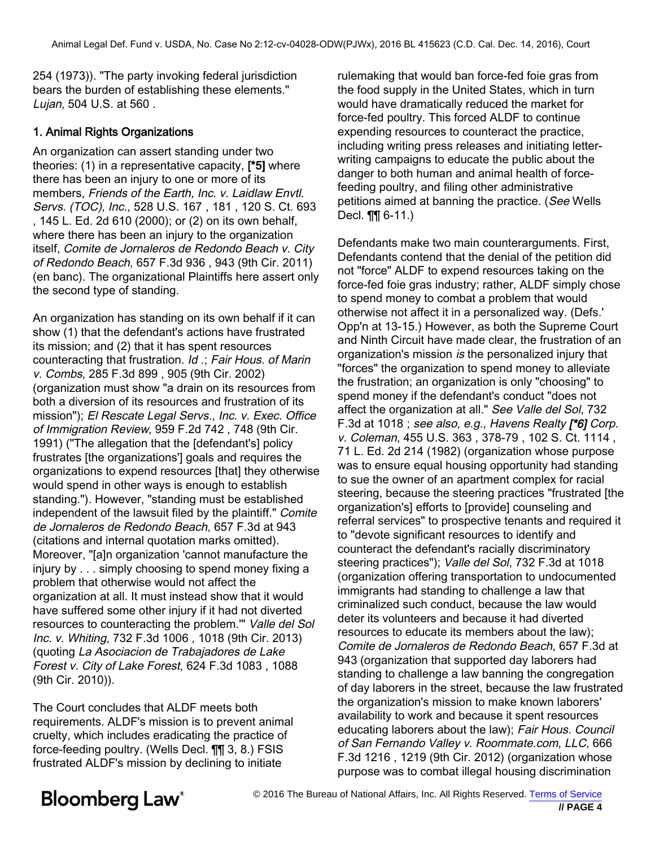254 (1973)). "The party invoking federal jurisdiction bears the burden of establishing these elements." Lujan, 504 U.S. at 560 .

#### 1. Animal Rights Organizations

An organization can assert standing under two theories:  $(1)$  in a representative capacity,  $[$ <sup>\*</sup>5] where there has been an injury to one or more of its members, Friends of the Earth, Inc. v. Laidlaw Envtl. Servs. (TOC), Inc., 528 U.S. 167 , 181 , 120 S. Ct. 693 , 145 L. Ed. 2d 610 (2000); or (2) on its own behalf, where there has been an injury to the organization itself, Comite de Jornaleros de Redondo Beach v. City of Redondo Beach, 657 F.3d 936 , 943 (9th Cir. 2011) (en banc). The organizational Plaintiffs here assert only the second type of standing.

An organization has standing on its own behalf if it can show (1) that the defendant's actions have frustrated its mission; and (2) that it has spent resources counteracting that frustration. Id .; Fair Hous. of Marin v. Combs, 285 F.3d 899 , 905 (9th Cir. 2002) (organization must show "a drain on its resources from both a diversion of its resources and frustration of its mission"); El Rescate Legal Servs., Inc. v. Exec. Office of Immigration Review, 959 F.2d 742 , 748 (9th Cir. 1991) ("The allegation that the [defendant's] policy frustrates [the organizations'] goals and requires the organizations to expend resources [that] they otherwise would spend in other ways is enough to establish standing."). However, "standing must be established independent of the lawsuit filed by the plaintiff." Comite de Jornaleros de Redondo Beach, 657 F.3d at 943 (citations and internal quotation marks omitted). Moreover, "[a]n organization 'cannot manufacture the injury by . . . simply choosing to spend money fixing a problem that otherwise would not affect the organization at all. It must instead show that it would have suffered some other injury if it had not diverted resources to counteracting the problem.'" Valle del Sol Inc. v. Whiting, 732 F.3d 1006 , 1018 (9th Cir. 2013) (quoting La Asociacion de Trabajadores de Lake Forest v. City of Lake Forest, 624 F.3d 1083 , 1088 (9th Cir. 2010)).

The Court concludes that ALDF meets both requirements. ALDF's mission is to prevent animal cruelty, which includes eradicating the practice of force-feeding poultry. (Wells Decl. ¶¶ 3, 8.) FSIS frustrated ALDF's mission by declining to initiate

rulemaking that would ban force-fed foie gras from the food supply in the United States, which in turn would have dramatically reduced the market for force-fed poultry. This forced ALDF to continue expending resources to counteract the practice, including writing press releases and initiating letterwriting campaigns to educate the public about the danger to both human and animal health of forcefeeding poultry, and filing other administrative petitions aimed at banning the practice. (See Wells Decl. ¶¶ 6-11.)

Defendants make two main counterarguments. First, Defendants contend that the denial of the petition did not "force" ALDF to expend resources taking on the force-fed foie gras industry; rather, ALDF simply chose to spend money to combat a problem that would otherwise not affect it in a personalized way. (Defs.' Opp'n at 13-15.) However, as both the Supreme Court and Ninth Circuit have made clear, the frustration of an organization's mission is the personalized injury that "forces" the organization to spend money to alleviate the frustration; an organization is only "choosing" to spend money if the defendant's conduct "does not affect the organization at all." See Valle del Sol, 732 F.3d at 1018; see also, e.g., Havens Realty [\*6] Corp. v. Coleman, 455 U.S. 363 , 378-79 , 102 S. Ct. 1114 , 71 L. Ed. 2d 214 (1982) (organization whose purpose was to ensure equal housing opportunity had standing to sue the owner of an apartment complex for racial steering, because the steering practices "frustrated [the organization's] efforts to [provide] counseling and referral services" to prospective tenants and required it to "devote significant resources to identify and counteract the defendant's racially discriminatory steering practices"); Valle del Sol, 732 F.3d at 1018 (organization offering transportation to undocumented immigrants had standing to challenge a law that criminalized such conduct, because the law would deter its volunteers and because it had diverted resources to educate its members about the law); Comite de Jornaleros de Redondo Beach, 657 F.3d at 943 (organization that supported day laborers had standing to challenge a law banning the congregation of day laborers in the street, because the law frustrated the organization's mission to make known laborers' availability to work and because it spent resources educating laborers about the law); Fair Hous. Council of San Fernando Valley v. Roommate.com, LLC, 666 F.3d 1216 , 1219 (9th Cir. 2012) (organization whose purpose was to combat illegal housing discrimination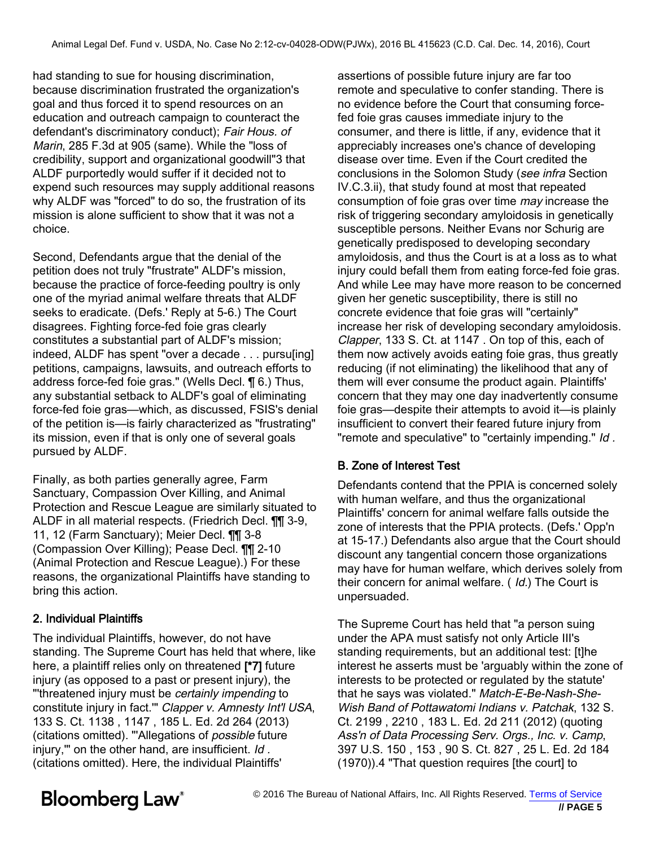had standing to sue for housing discrimination, because discrimination frustrated the organization's goal and thus forced it to spend resources on an education and outreach campaign to counteract the defendant's discriminatory conduct); Fair Hous. of Marin, 285 F.3d at 905 (same). While the "loss of credibility, support and organizational goodwill"3 that ALDF purportedly would suffer if it decided not to expend such resources may supply additional reasons why ALDF was "forced" to do so, the frustration of its mission is alone sufficient to show that it was not a choice.

Second, Defendants argue that the denial of the petition does not truly "frustrate" ALDF's mission, because the practice of force-feeding poultry is only one of the myriad animal welfare threats that ALDF seeks to eradicate. (Defs.' Reply at 5-6.) The Court disagrees. Fighting force-fed foie gras clearly constitutes a substantial part of ALDF's mission; indeed, ALDF has spent "over a decade . . . pursu[ing] petitions, campaigns, lawsuits, and outreach efforts to address force-fed foie gras." (Wells Decl. ¶ 6.) Thus, any substantial setback to ALDF's goal of eliminating force-fed foie gras—which, as discussed, FSIS's denial of the petition is—is fairly characterized as "frustrating" its mission, even if that is only one of several goals pursued by ALDF.

Finally, as both parties generally agree, Farm Sanctuary, Compassion Over Killing, and Animal Protection and Rescue League are similarly situated to ALDF in all material respects. (Friedrich Decl. ¶¶ 3-9, 11, 12 (Farm Sanctuary); Meier Decl. ¶¶ 3-8 (Compassion Over Killing); Pease Decl. ¶¶ 2-10 (Animal Protection and Rescue League).) For these reasons, the organizational Plaintiffs have standing to bring this action.

## 2. Individual Plaintiffs

The individual Plaintiffs, however, do not have standing. The Supreme Court has held that where, like here, a plaintiff relies only on threatened <sup>[\*7]</sup> future injury (as opposed to a past or present injury), the "'threatened injury must be certainly impending to constitute injury in fact."" Clapper v. Amnesty Int'l USA, 133 S. Ct. 1138, 1147, 185 L. Ed. 2d 264 (2013) (citations omitted). "'Allegations of possible future injury," on the other hand, are insufficient. Id. (citations omitted). Here, the individual Plaintiffs'

assertions of possible future injury are far too remote and speculative to confer standing. There is no evidence before the Court that consuming forcefed foie gras causes immediate injury to the consumer, and there is little, if any, evidence that it appreciably increases one's chance of developing disease over time. Even if the Court credited the conclusions in the Solomon Study (see infra Section IV.C.3.ii), that study found at most that repeated consumption of foie gras over time may increase the risk of triggering secondary amyloidosis in genetically susceptible persons. Neither Evans nor Schurig are genetically predisposed to developing secondary amyloidosis, and thus the Court is at a loss as to what injury could befall them from eating force-fed foie gras. And while Lee may have more reason to be concerned given her genetic susceptibility, there is still no concrete evidence that foie gras will "certainly" increase her risk of developing secondary amyloidosis. Clapper, 133 S. Ct. at 1147 . On top of this, each of them now actively avoids eating foie gras, thus greatly reducing (if not eliminating) the likelihood that any of them will ever consume the product again. Plaintiffs' concern that they may one day inadvertently consume foie gras—despite their attempts to avoid it—is plainly insufficient to convert their feared future injury from "remote and speculative" to "certainly impending." Id .

## B. Zone of Interest Test

Defendants contend that the PPIA is concerned solely with human welfare, and thus the organizational Plaintiffs' concern for animal welfare falls outside the zone of interests that the PPIA protects. (Defs.' Opp'n at 15-17.) Defendants also argue that the Court should discount any tangential concern those organizations may have for human welfare, which derives solely from their concern for animal welfare. (*Id.*) The Court is unpersuaded.

The Supreme Court has held that "a person suing under the APA must satisfy not only Article III's standing requirements, but an additional test: [t]he interest he asserts must be 'arguably within the zone of interests to be protected or regulated by the statute' that he says was violated." Match-E-Be-Nash-She-Wish Band of Pottawatomi Indians v. Patchak, 132 S. Ct. 2199 , 2210 , 183 L. Ed. 2d 211 (2012) (quoting Ass'n of Data Processing Serv. Orgs., Inc. v. Camp,<br>397 U.S. 150 , 153 , 90 S. Ct. 827 , 25 L. Ed. 2d 184 (1970)).4 "That question requires [the court] to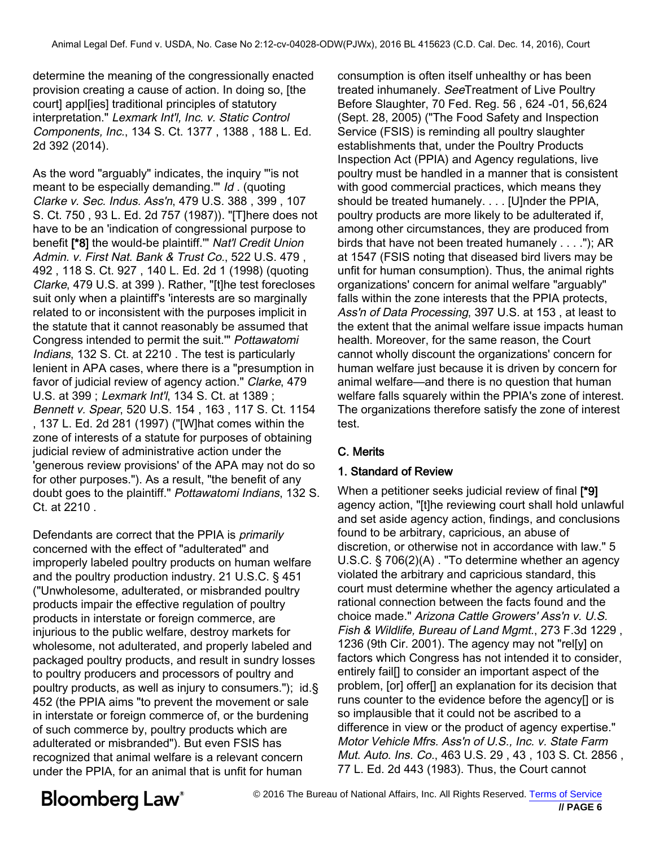determine the meaning of the congressionally enacted provision creating a cause of action. In doing so, [the court] appl[ies] traditional principles of statutory interpretation." Lexmark Int'l, Inc. v. Static Control Components, Inc., 134 S. Ct. 1377 , 1388 , 188 L. Ed. 2d 392 (2014).

As the word "arguably" indicates, the inquiry "'is not meant to be especially demanding.'" Id . (quoting Clarke v. Sec. Indus. Ass'n, 479 U.S. 388 , 399 , 107 S. Ct. 750 , 93 L. Ed. 2d 757 (1987)). "[T]here does not have to be an 'indication of congressional purpose to benefit [\*8] the would-be plaintiff."" Nat'l Credit Union Admin. v. First Nat. Bank & Trust Co., 522 U.S. 479 , 492 , 118 S. Ct. 927 , 140 L. Ed. 2d 1 (1998) (quoting Clarke, 479 U.S. at 399 ). Rather, "[t]he test forecloses suit only when a plaintiff's 'interests are so marginally related to or inconsistent with the purposes implicit in the statute that it cannot reasonably be assumed that Congress intended to permit the suit.'" Pottawatomi Indians, 132 S. Ct. at 2210 . The test is particularly lenient in APA cases, where there is a "presumption in favor of judicial review of agency action." Clarke, 479 U.S. at 399 ; Lexmark Int'l, 134 S. Ct. at 1389 ; Bennett v. Spear, 520 U.S. 154 , 163 , 117 S. Ct. 1154 , 137 L. Ed. 2d 281 (1997) ("[W]hat comes within the zone of interests of a statute for purposes of obtaining judicial review of administrative action under the 'generous review provisions' of the APA may not do so for other purposes."). As a result, "the benefit of any doubt goes to the plaintiff." Pottawatomi Indians, 132 S. Ct. at 2210 .

Defendants are correct that the PPIA is *primarily* concerned with the effect of "adulterated" and improperly labeled poultry products on human welfare and the poultry production industry. 21 U.S.C. § 451 ("Unwholesome, adulterated, or misbranded poultry products impair the effective regulation of poultry products in interstate or foreign commerce, are injurious to the public welfare, destroy markets for wholesome, not adulterated, and properly labeled and packaged poultry products, and result in sundry losses to poultry producers and processors of poultry and poultry products, as well as injury to consumers."); id.§ 452 (the PPIA aims "to prevent the movement or sale in interstate or foreign commerce of, or the burdening of such commerce by, poultry products which are adulterated or misbranded"). But even FSIS has recognized that animal welfare is a relevant concern under the PPIA, for an animal that is unfit for human

consumption is often itself unhealthy or has been treated inhumanely. SeeTreatment of Live Poultry Before Slaughter, 70 Fed. Reg. 56 , 624 -01, 56,624 (Sept. 28, 2005) ("The Food Safety and Inspection Service (FSIS) is reminding all poultry slaughter establishments that, under the Poultry Products Inspection Act (PPIA) and Agency regulations, live poultry must be handled in a manner that is consistent with good commercial practices, which means they should be treated humanely. . . . [U]nder the PPIA, poultry products are more likely to be adulterated if, among other circumstances, they are produced from birds that have not been treated humanely . . . ."); AR at 1547 (FSIS noting that diseased bird livers may be unfit for human consumption). Thus, the animal rights organizations' concern for animal welfare "arguably" falls within the zone interests that the PPIA protects, Ass'n of Data Processing, 397 U.S. at 153, at least to the extent that the animal welfare issue impacts human health. Moreover, for the same reason, the Court cannot wholly discount the organizations' concern for human welfare just because it is driven by concern for animal welfare—and there is no question that human welfare falls squarely within the PPIA's zone of interest. The organizations therefore satisfy the zone of interest test.

## C. Merits

### 1. Standard of Review

When a petitioner seeks judicial review of final <sup>[\*9]</sup> agency action, "[t]he reviewing court shall hold unlawful and set aside agency action, findings, and conclusions found to be arbitrary, capricious, an abuse of discretion, or otherwise not in accordance with law." 5 U.S.C. § 706(2)(A) . "To determine whether an agency violated the arbitrary and capricious standard, this court must determine whether the agency articulated a rational connection between the facts found and the choice made." Arizona Cattle Growers' Ass'n v. U.S. Fish & Wildlife, Bureau of Land Mgmt., 273 F.3d 1229, The agency may not "relly on factors which Congress has not intended it to consider, entirely fail[] to consider an important aspect of the problem, [or] offer[] an explanation for its decision that runs counter to the evidence before the agency[] or is so implausible that it could not be ascribed to a difference in view or the product of agency expertise." Motor Vehicle Mfrs. Ass'n of U.S., Inc. v. State Farm Mut. Auto. Ins. Co., 463 U.S. 29 , 43 , 103 S. Ct. 2856 , 77 L. Ed. 2d 443 (1983). Thus, the Court cannot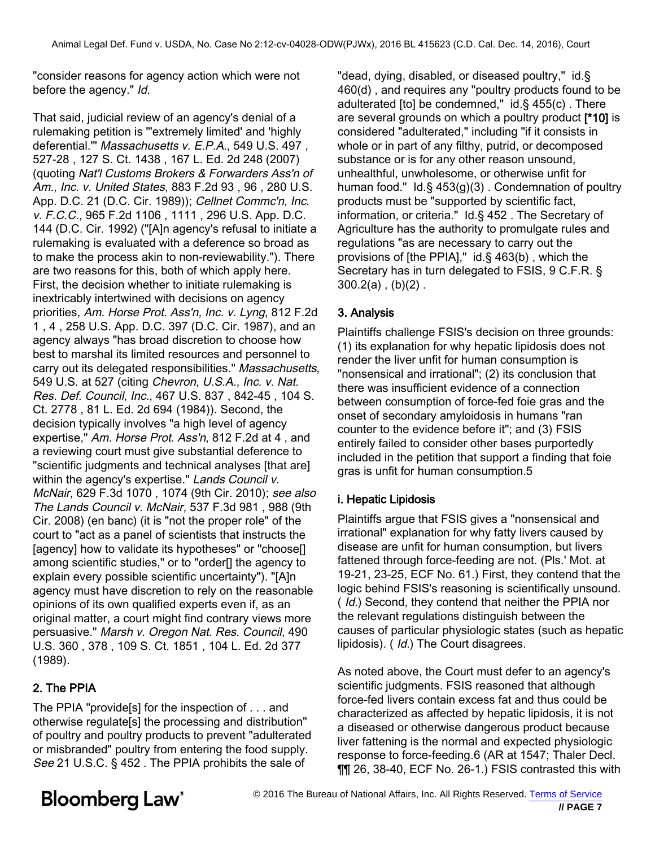"consider reasons for agency action which were not before the agency." Id.

That said, judicial review of an agency's denial of a rulemaking petition is "'extremely limited' and 'highly deferential." Massachusetts v. E.P.A., 549 U.S. 497, 527-28 , 127 S. Ct. 1438 , 167 L. Ed. 2d 248 (2007) (quoting Nat'l Customs Brokers & Forwarders Ass'n of Am., Inc. v. United States, 883 F.2d 93 , 96 , 280 U.S. App. D.C. 21 (D.C. Cir. 1989)); Cellnet Commc'n, Inc. v. F.C.C., 965 F.2d 1106 , 1111 , 296 U.S. App. D.C. 144 (D.C. Cir. 1992) ("[A]n agency's refusal to initiate a rulemaking is evaluated with a deference so broad as to make the process akin to non-reviewability."). There are two reasons for this, both of which apply here. First, the decision whether to initiate rulemaking is inextricably intertwined with decisions on agency priorities, Am. Horse Prot. Ass'n, Inc. v. Lyng, 812 F.2d 1 , 4 , 258 U.S. App. D.C. 397 (D.C. Cir. 1987), and an agency always "has broad discretion to choose how best to marshal its limited resources and personnel to carry out its delegated responsibilities." Massachusetts, 549 U.S. at 527 (citing Chevron, U.S.A., Inc. v. Nat. Res. Def. Council, Inc., 467 U.S. 837 , 842-45 , 104 S. Ct. 2778 , 81 L. Ed. 2d 694 (1984)). Second, the decision typically involves "a high level of agency expertise," Am. Horse Prot. Ass'n, 812 F.2d at 4 , and a reviewing court must give substantial deference to "scientific judgments and technical analyses [that are] within the agency's expertise." Lands Council v. McNair, 629 F.3d 1070 , 1074 (9th Cir. 2010); see also The Lands Council v. McNair, 537 F.3d 981 , 988 (9th Cir. 2008) (en banc) (it is "not the proper role" of the court to "act as a panel of scientists that instructs the [agency] how to validate its hypotheses" or "choose[] among scientific studies," or to "order[] the agency to explain every possible scientific uncertainty"). "[A]n agency must have discretion to rely on the reasonable opinions of its own qualified experts even if, as an original matter, a court might find contrary views more persuasive." Marsh v. Oregon Nat. Res. Council, 490 U.S. 360 , 378 , 109 S. Ct. 1851 , 104 L. Ed. 2d 377 (1989).

## 2. The PPIA

The PPIA "provide[s] for the inspection of . . . and otherwise regulate[s] the processing and distribution" of poultry and poultry products to prevent "adulterated or misbranded" poultry from entering the food supply. See 21 U.S.C. § 452. The PPIA prohibits the sale of

"dead, dying, disabled, or diseased poultry," id.§ 460(d) , and requires any "poultry products found to be adulterated [to] be condemned," id.§ 455(c) . There are several grounds on which a poultry product [\*10] is considered "adulterated," including "if it consists in whole or in part of any filthy, putrid, or decomposed substance or is for any other reason unsound, unhealthful, unwholesome, or otherwise unfit for human food." Id.§ 453(g)(3) . Condemnation of poultry products must be "supported by scientific fact, information, or criteria." Id.§ 452 . The Secretary of Agriculture has the authority to promulgate rules and regulations "as are necessary to carry out the provisions of [the PPIA]," id.§ 463(b) , which the Secretary has in turn delegated to FSIS, 9 C.F.R. §  $300.2(a)$ ,  $(b)(2)$ .

#### 3. Analysis

Plaintiffs challenge FSIS's decision on three grounds: (1) its explanation for why hepatic lipidosis does not render the liver unfit for human consumption is "nonsensical and irrational"; (2) its conclusion that there was insufficient evidence of a connection between consumption of force-fed foie gras and the onset of secondary amyloidosis in humans "ran counter to the evidence before it"; and (3) FSIS entirely failed to consider other bases purportedly included in the petition that support a finding that foie gras is unfit for human consumption.5

### i. Hepatic Lipidosis

Plaintiffs argue that FSIS gives a "nonsensical and irrational" explanation for why fatty livers caused by disease are unfit for human consumption, but livers fattened through force-feeding are not. (Pls.' Mot. at 19-21, 23-25, ECF No. 61.) First, they contend that the logic behind FSIS's reasoning is scientifically unsound. ( Id.) Second, they contend that neither the PPIA nor the relevant regulations distinguish between the causes of particular physiologic states (such as hepatic lipidosis). ( Id.) The Court disagrees.

As noted above, the Court must defer to an agency's scientific judgments. FSIS reasoned that although force-fed livers contain excess fat and thus could be characterized as affected by hepatic lipidosis, it is not a diseased or otherwise dangerous product because liver fattening is the normal and expected physiologic response to force-feeding.6 (AR at 1547; Thaler Decl. ¶¶ 26, 38-40, ECF No. 26-1.) FSIS contrasted this with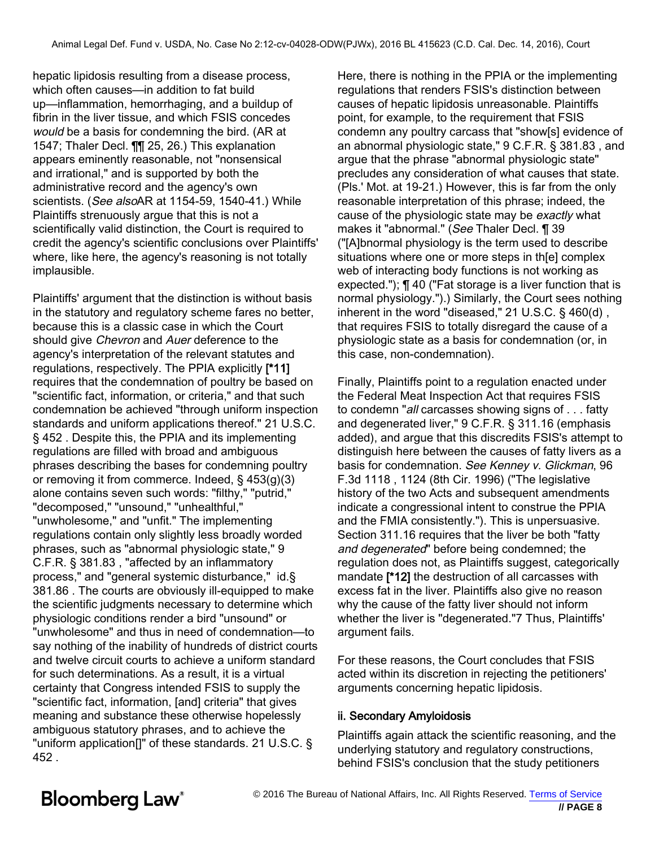hepatic lipidosis resulting from a disease process, which often causes—in addition to fat build up—inflammation, hemorrhaging, and a buildup of fibrin in the liver tissue, and which FSIS concedes would be a basis for condemning the bird. (AR at 1547; Thaler Decl. ¶¶ 25, 26.) This explanation appears eminently reasonable, not "nonsensical and irrational," and is supported by both the administrative record and the agency's own scientists. (See alsoAR at 1154-59, 1540-41.) While Plaintiffs strenuously argue that this is not a scientifically valid distinction, the Court is required to credit the agency's scientific conclusions over Plaintiffs' where, like here, the agency's reasoning is not totally implausible.

Plaintiffs' argument that the distinction is without basis in the statutory and regulatory scheme fares no better, because this is a classic case in which the Court should give *Chevron* and Auer deference to the agency's interpretation of the relevant statutes and regulations, respectively. The PPIA explicitly [\*11] requires that the condemnation of poultry be based on "scientific fact, information, or criteria," and that such condemnation be achieved "through uniform inspection standards and uniform applications thereof." 21 U.S.C. § 452 . Despite this, the PPIA and its implementing regulations are filled with broad and ambiguous phrases describing the bases for condemning poultry or removing it from commerce. Indeed, § 453(g)(3) alone contains seven such words: "filthy," "putrid," "decomposed," "unsound," "unhealthful," "unwholesome," and "unfit." The implementing regulations contain only slightly less broadly worded phrases, such as "abnormal physiologic state," 9 C.F.R. § 381.83 , "affected by an inflammatory process," and "general systemic disturbance," id.§ 381.86 . The courts are obviously ill-equipped to make the scientific judgments necessary to determine which physiologic conditions render a bird "unsound" or "unwholesome" and thus in need of condemnation—to say nothing of the inability of hundreds of district courts and twelve circuit courts to achieve a uniform standard for such determinations. As a result, it is a virtual certainty that Congress intended FSIS to supply the "scientific fact, information, [and] criteria" that gives meaning and substance these otherwise hopelessly ambiguous statutory phrases, and to achieve the "uniform application[]" of these standards. 21 U.S.C. § 452 .

Here, there is nothing in the PPIA or the implementing regulations that renders FSIS's distinction between causes of hepatic lipidosis unreasonable. Plaintiffs point, for example, to the requirement that FSIS condemn any poultry carcass that "show[s] evidence of an abnormal physiologic state," 9 C.F.R. § 381.83 , and argue that the phrase "abnormal physiologic state" precludes any consideration of what causes that state. (Pls.' Mot. at 19-21.) However, this is far from the only reasonable interpretation of this phrase; indeed, the cause of the physiologic state may be exactly what makes it "abnormal." (See Thaler Decl. ¶ 39 ("[A]bnormal physiology is the term used to describe situations where one or more steps in th[e] complex web of interacting body functions is not working as expected."); ¶ 40 ("Fat storage is a liver function that is normal physiology.").) Similarly, the Court sees nothing inherent in the word "diseased," 21 U.S.C. § 460(d) , that requires FSIS to totally disregard the cause of a physiologic state as a basis for condemnation (or, in this case, non-condemnation).

Finally, Plaintiffs point to a regulation enacted under the Federal Meat Inspection Act that requires FSIS to condemn "all carcasses showing signs of . . . fatty and degenerated liver," 9 C.F.R. § 311.16 (emphasis added), and argue that this discredits FSIS's attempt to distinguish here between the causes of fatty livers as a basis for condemnation. See Kenney v. Glickman, 96 F.3d 1118 , 1124 (8th Cir. 1996) ("The legislative history of the two Acts and subsequent amendments indicate a congressional intent to construe the PPIA and the FMIA consistently."). This is unpersuasive. Section 311.16 requires that the liver be both "fatty and degenerated" before being condemned; the regulation does not, as Plaintiffs suggest, categorically mandate [\*12] the destruction of all carcasses with excess fat in the liver. Plaintiffs also give no reason why the cause of the fatty liver should not inform whether the liver is "degenerated."7 Thus, Plaintiffs' argument fails.

For these reasons, the Court concludes that FSIS acted within its discretion in rejecting the petitioners' arguments concerning hepatic lipidosis.

#### ii. Secondary Amyloidosis

Plaintiffs again attack the scientific reasoning, and the underlying statutory and regulatory constructions, behind FSIS's conclusion that the study petitioners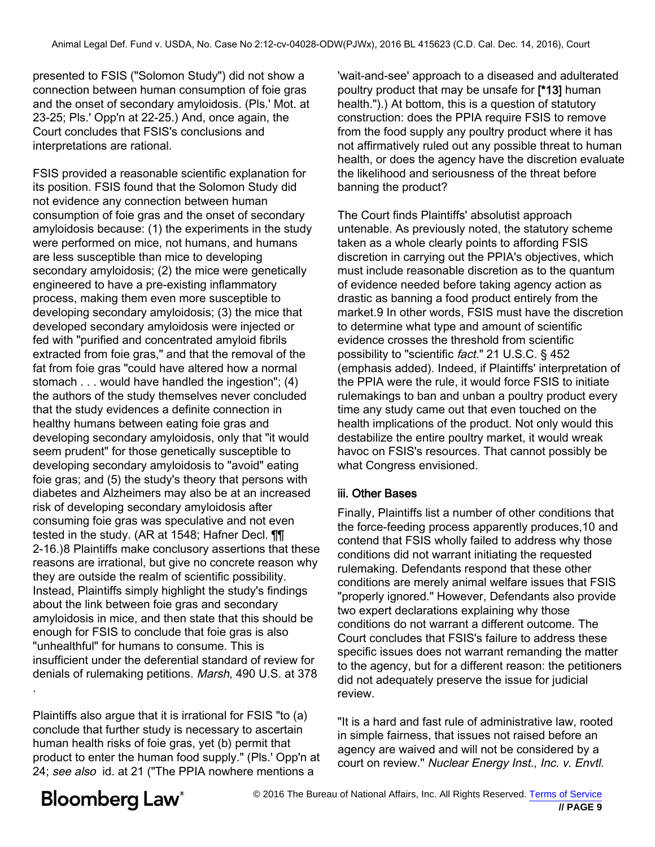presented to FSIS ("Solomon Study") did not show a connection between human consumption of foie gras and the onset of secondary amyloidosis. (Pls.' Mot. at 23-25; Pls.' Opp'n at 22-25.) And, once again, the Court concludes that FSIS's conclusions and interpretations are rational.

FSIS provided a reasonable scientific explanation for its position. FSIS found that the Solomon Study did not evidence any connection between human consumption of foie gras and the onset of secondary amyloidosis because: (1) the experiments in the study were performed on mice, not humans, and humans are less susceptible than mice to developing secondary amyloidosis; (2) the mice were genetically engineered to have a pre-existing inflammatory process, making them even more susceptible to developing secondary amyloidosis; (3) the mice that developed secondary amyloidosis were injected or fed with "purified and concentrated amyloid fibrils extracted from foie gras," and that the removal of the fat from foie gras "could have altered how a normal stomach . . . would have handled the ingestion"; (4) the authors of the study themselves never concluded that the study evidences a definite connection in healthy humans between eating foie gras and developing secondary amyloidosis, only that "it would seem prudent" for those genetically susceptible to developing secondary amyloidosis to "avoid" eating foie gras; and (5) the study's theory that persons with diabetes and Alzheimers may also be at an increased risk of developing secondary amyloidosis after consuming foie gras was speculative and not even tested in the study. (AR at 1548; Hafner Decl. **[1]** 2-16.)8 Plaintiffs make conclusory assertions that these reasons are irrational, but give no concrete reason why they are outside the realm of scientific possibility. Instead, Plaintiffs simply highlight the study's findings about the link between foie gras and secondary amyloidosis in mice, and then state that this should be enough for FSIS to conclude that foie gras is also "unhealthful" for humans to consume. This is insufficient under the deferential standard of review for denials of rulemaking petitions. Marsh, 490 U.S. at 378 .

Plaintiffs also argue that it is irrational for FSIS "to (a) conclude that further study is necessary to ascertain human health risks of foie gras, yet (b) permit that product to enter the human food supply." (Pls.' Opp'n at 24; see also id. at 21 ("The PPIA nowhere mentions a

'wait-and-see' approach to a diseased and adulterated poultry product that may be unsafe for [\*13] human health.").) At bottom, this is a question of statutory construction: does the PPIA require FSIS to remove from the food supply any poultry product where it has not affirmatively ruled out any possible threat to human health, or does the agency have the discretion evaluate the likelihood and seriousness of the threat before banning the product?

The Court finds Plaintiffs' absolutist approach untenable. As previously noted, the statutory scheme taken as a whole clearly points to affording FSIS discretion in carrying out the PPIA's objectives, which must include reasonable discretion as to the quantum of evidence needed before taking agency action as drastic as banning a food product entirely from the market.9 In other words, FSIS must have the discretion to determine what type and amount of scientific evidence crosses the threshold from scientific possibility to "scientific fact." 21 U.S.C. § 452 (emphasis added). Indeed, if Plaintiffs' interpretation of the PPIA were the rule, it would force FSIS to initiate rulemakings to ban and unban a poultry product every time any study came out that even touched on the health implications of the product. Not only would this destabilize the entire poultry market, it would wreak havoc on FSIS's resources. That cannot possibly be what Congress envisioned.

#### iii. Other Bases

Finally, Plaintiffs list a number of other conditions that the force-feeding process apparently produces,10 and contend that FSIS wholly failed to address why those conditions did not warrant initiating the requested rulemaking. Defendants respond that these other conditions are merely animal welfare issues that FSIS "properly ignored." However, Defendants also provide two expert declarations explaining why those conditions do not warrant a different outcome. The Court concludes that FSIS's failure to address these specific issues does not warrant remanding the matter to the agency, but for a different reason: the petitioners did not adequately preserve the issue for judicial review.

"It is a hard and fast rule of administrative law, rooted in simple fairness, that issues not raised before an agency are waived and will not be considered by a court on review." Nuclear Energy Inst., Inc. v. Envtl.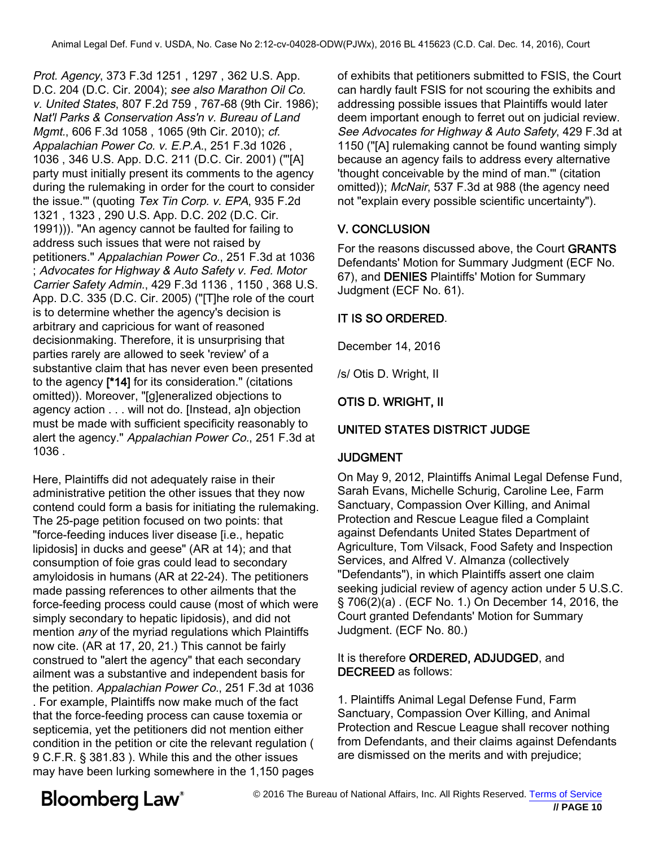Prot. Agency, 373 F.3d 1251 , 1297 , 362 U.S. App. D.C. 204 (D.C. Cir. 2004); see also Marathon Oil Co. v. United States, 807 F.2d 759 , 767-68 (9th Cir. 1986); Nat'l Parks & Conservation Ass'n v. Bureau of Land Mgmt., 606 F.3d 1058 , 1065 (9th Cir. 2010); cf. Appalachian Power Co. v. E.P.A., 251 F.3d 1026,<br>1036 , 346 U.S. App. D.C. 211 (D.C. Cir. 2001) ("'[A] party must initially present its comments to the agency during the rulemaking in order for the court to consider the issue.'" (quoting Tex Tin Corp. v. EPA, 935 F.2d 1321 , 1323 , 290 U.S. App. D.C. 202 (D.C. Cir. 1991))). "An agency cannot be faulted for failing to address such issues that were not raised by petitioners." Appalachian Power Co., 251 F.3d at 1036 ; Advocates for Highway & Auto Safety v. Fed. Motor Carrier Safety Admin., 429 F.3d 1136 , 1150 , 368 U.S. App. D.C. 335 (D.C. Cir. 2005) ("[T]he role of the court is to determine whether the agency's decision is arbitrary and capricious for want of reasoned decisionmaking. Therefore, it is unsurprising that parties rarely are allowed to seek 'review' of a substantive claim that has never even been presented to the agency [\*14] for its consideration." (citations omitted)). Moreover, "[g]eneralized objections to agency action . . . will not do. [Instead, a]n objection must be made with sufficient specificity reasonably to alert the agency." Appalachian Power Co., 251 F.3d at 1036 .

Here, Plaintiffs did not adequately raise in their administrative petition the other issues that they now contend could form a basis for initiating the rulemaking. The 25-page petition focused on two points: that "force-feeding induces liver disease [i.e., hepatic lipidosis] in ducks and geese" (AR at 14); and that consumption of foie gras could lead to secondary amyloidosis in humans (AR at 22-24). The petitioners made passing references to other ailments that the force-feeding process could cause (most of which were simply secondary to hepatic lipidosis), and did not mention *any* of the myriad regulations which Plaintiffs now cite. (AR at 17, 20, 21.) This cannot be fairly construed to "alert the agency" that each secondary ailment was a substantive and independent basis for the petition. Appalachian Power Co., 251 F.3d at 1036 . For example, Plaintiffs now make much of the fact that the force-feeding process can cause toxemia or septicemia, yet the petitioners did not mention either condition in the petition or cite the relevant regulation ( 9 C.F.R. § 381.83 ). While this and the other issues may have been lurking somewhere in the 1,150 pages

of exhibits that petitioners submitted to FSIS, the Court can hardly fault FSIS for not scouring the exhibits and addressing possible issues that Plaintiffs would later deem important enough to ferret out on judicial review. See Advocates for Highway & Auto Safety, 429 F.3d at 1150 ("[A] rulemaking cannot be found wanting simply because an agency fails to address every alternative 'thought conceivable by the mind of man.'" (citation omitted)); McNair, 537 F.3d at 988 (the agency need not "explain every possible scientific uncertainty").

#### V. CONCLUSION

For the reasons discussed above, the Court GRANTS Defendants' Motion for Summary Judgment (ECF No. 67), and DENIES Plaintiffs' Motion for Summary Judgment (ECF No. 61).

#### IT IS SO ORDERED.

December 14, 2016

/s/ Otis D. Wright, II

## OTIS D. WRIGHT, II

## UNITED STATES DISTRICT JUDGE

### JUDGMENT

On May 9, 2012, Plaintiffs Animal Legal Defense Fund, Sarah Evans, Michelle Schurig, Caroline Lee, Farm Sanctuary, Compassion Over Killing, and Animal Protection and Rescue League filed a Complaint against Defendants United States Department of Agriculture, Tom Vilsack, Food Safety and Inspection Services, and Alfred V. Almanza (collectively "Defendants"), in which Plaintiffs assert one claim seeking judicial review of agency action under 5 U.S.C. § 706(2)(a) . (ECF No. 1.) On December 14, 2016, the Court granted Defendants' Motion for Summary Judgment. (ECF No. 80.)

#### It is therefore ORDERED, ADJUDGED, and DECREED as follows:

1. Plaintiffs Animal Legal Defense Fund, Farm Sanctuary, Compassion Over Killing, and Animal Protection and Rescue League shall recover nothing from Defendants, and their claims against Defendants are dismissed on the merits and with prejudice;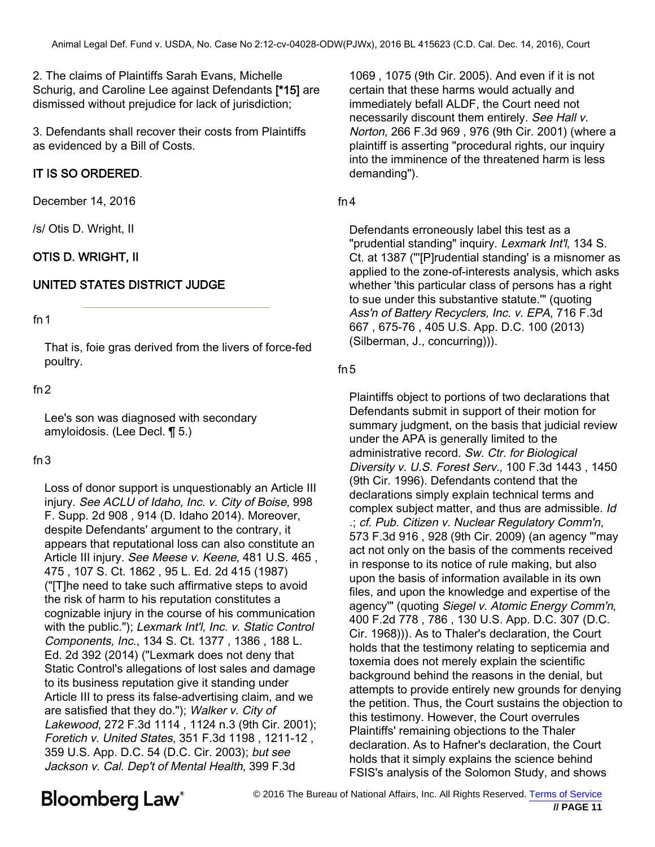2. The claims of Plaintiffs Sarah Evans, Michelle Schurig, and Caroline Lee against Defendants [\*15] are dismissed without prejudice for lack of jurisdiction;

3. Defendants shall recover their costs from Plaintiffs as evidenced by a Bill of Costs.

## IT IS SO ORDERED.

December 14, 2016

/s/ Otis D. Wright, II

### OTIS D. WRIGHT, II

### UNITED STATES DISTRICT JUDGE

#### fn1

That is, foie gras derived from the livers of force-fed poultry.

#### fn2

Lee's son was diagnosed with secondary amyloidosis. (Lee Decl. ¶ 5.)

#### fn3

Loss of donor support is unquestionably an Article III injury. See ACLU of Idaho, Inc. v. City of Boise, 998 F. Supp. 2d 908 , 914 (D. Idaho 2014). Moreover, despite Defendants' argument to the contrary, it appears that reputational loss can also constitute an Article III injury. See Meese v. Keene, 481 U.S. 465 , 475 , 107 S. Ct. 1862 , 95 L. Ed. 2d 415 (1987) ("[T]he need to take such affirmative steps to avoid the risk of harm to his reputation constitutes a cognizable injury in the course of his communication with the public."); Lexmark Int'l, Inc. v. Static Control Components, Inc., 134 S. Ct. 1377 , 1386 , 188 L. Ed. 2d 392 (2014) ("Lexmark does not deny that Static Control's allegations of lost sales and damage to its business reputation give it standing under Article III to press its false-advertising claim, and we are satisfied that they do."); Walker v. City of Lakewood, 272 F.3d 1114 , 1124 n.3 (9th Cir. 2001); Foretich v. United States, 351 F.3d 1198 , 1211-12 , 359 U.S. App. D.C. 54 (D.C. Cir. 2003); but see Jackson v. Cal. Dep't of Mental Health, 399 F.3d

1069 , 1075 (9th Cir. 2005). And even if it is not certain that these harms would actually and immediately befall ALDF, the Court need not necessarily discount them entirely. See Hall v. Norton, 266 F.3d 969 , 976 (9th Cir. 2001) (where a plaintiff is asserting "procedural rights, our inquiry into the imminence of the threatened harm is less demanding").

#### fn4

Defendants erroneously label this test as a "prudential standing" inquiry. Lexmark Int'l, 134 S. Ct. at 1387 ("'[P]rudential standing' is a misnomer as applied to the zone-of-interests analysis, which asks whether 'this particular class of persons has a right to sue under this substantive statute.'" (quoting Ass'n of Battery Recyclers, Inc. v. EPA, 716 F.3d 667 , 675-76 , 405 U.S. App. D.C. 100 (2013) (Silberman, J., concurring))).

#### $fn5$

Plaintiffs object to portions of two declarations that Defendants submit in support of their motion for summary judgment, on the basis that judicial review under the APA is generally limited to the administrative record. Sw. Ctr. for Biological Diversity v. U.S. Forest Serv., 100 F.3d 1443 , 1450 (9th Cir. 1996). Defendants contend that the declarations simply explain technical terms and complex subject matter, and thus are admissible. Id .; cf. Pub. Citizen v. Nuclear Regulatory Comm'n, 573 F.3d 916 , 928 (9th Cir. 2009) (an agency "'may act not only on the basis of the comments received in response to its notice of rule making, but also upon the basis of information available in its own files, and upon the knowledge and expertise of the agency"' (quoting Siegel v. Atomic Energy Comm'n, 400 F.2d 778, 786, 130 U.S. App. D.C. 307 (D.C. Cir. 1968))). As to Thaler's declaration, the Court holds that the testimony relating to septicemia and toxemia does not merely explain the scientific background behind the reasons in the denial, but attempts to provide entirely new grounds for denying the petition. Thus, the Court sustains the objection to this testimony. However, the Court overrules Plaintiffs' remaining objections to the Thaler declaration. As to Hafner's declaration, the Court holds that it simply explains the science behind FSIS's analysis of the Solomon Study, and shows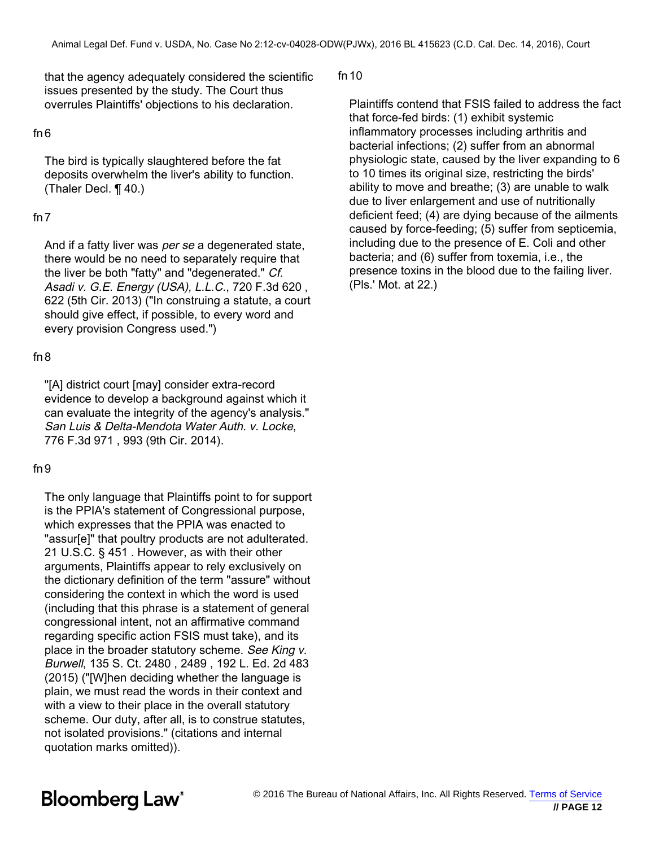that the agency adequately considered the scientific issues presented by the study. The Court thus overrules Plaintiffs' objections to his declaration.

#### fn6

The bird is typically slaughtered before the fat deposits overwhelm the liver's ability to function. (Thaler Decl. ¶ 40.)

#### fn7

And if a fatty liver was *per se* a degenerated state, there would be no need to separately require that the liver be both "fatty" and "degenerated." Cf. Asadi v. G.E. Energy (USA), L.L.C., 720 F.3d 620 , 622 (5th Cir. 2013) ("In construing a statute, a court should give effect, if possible, to every word and every provision Congress used.")

#### fn8

"[A] district court [may] consider extra-record evidence to develop a background against which it can evaluate the integrity of the agency's analysis." San Luis & Delta-Mendota Water Auth. v. Locke, 776 F.3d 971 , 993 (9th Cir. 2014).

#### fn9

The only language that Plaintiffs point to for support is the PPIA's statement of Congressional purpose, which expresses that the PPIA was enacted to "assur[e]" that poultry products are not adulterated. 21 U.S.C. § 451 . However, as with their other arguments, Plaintiffs appear to rely exclusively on the dictionary definition of the term "assure" without considering the context in which the word is used (including that this phrase is a statement of general congressional intent, not an affirmative command regarding specific action FSIS must take), and its place in the broader statutory scheme. See King v. Burwell, 135 S. Ct. 2480 , 2489 , 192 L. Ed. 2d 483 (2015) ("[W]hen deciding whether the language is plain, we must read the words in their context and with a view to their place in the overall statutory scheme. Our duty, after all, is to construe statutes, not isolated provisions." (citations and internal quotation marks omitted)).

fn10

Plaintiffs contend that FSIS failed to address the fact that force-fed birds: (1) exhibit systemic inflammatory processes including arthritis and bacterial infections; (2) suffer from an abnormal physiologic state, caused by the liver expanding to 6 to 10 times its original size, restricting the birds' ability to move and breathe; (3) are unable to walk due to liver enlargement and use of nutritionally deficient feed; (4) are dying because of the ailments caused by force-feeding; (5) suffer from septicemia, including due to the presence of E. Coli and other bacteria; and (6) suffer from toxemia, i.e., the presence toxins in the blood due to the failing liver. (Pls.' Mot. at 22.)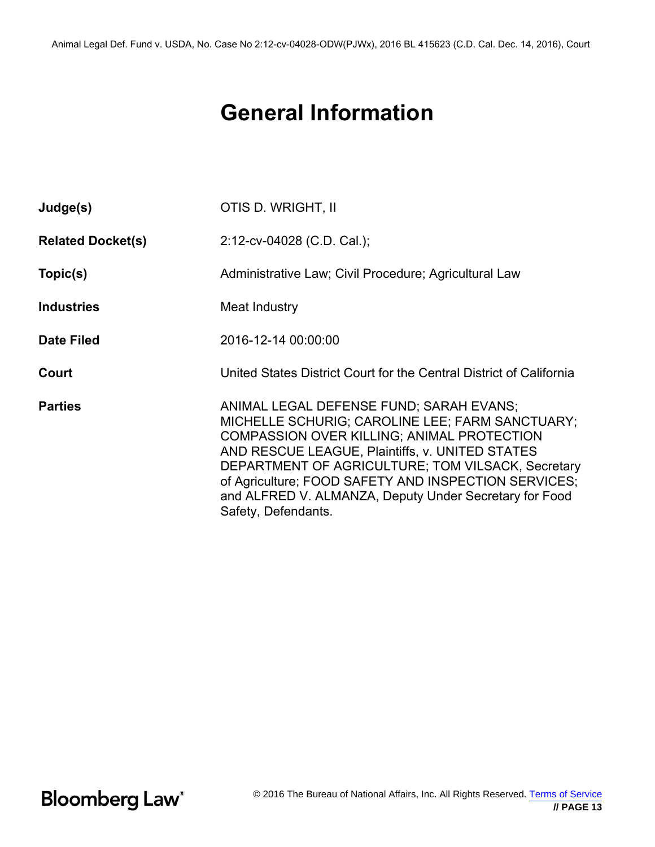# **General Information**

| Judge(s)                 | OTIS D. WRIGHT, II                                                                                                                                                                                                                                                                                                                                                                               |
|--------------------------|--------------------------------------------------------------------------------------------------------------------------------------------------------------------------------------------------------------------------------------------------------------------------------------------------------------------------------------------------------------------------------------------------|
| <b>Related Docket(s)</b> | 2:12-cv-04028 (C.D. Cal.);                                                                                                                                                                                                                                                                                                                                                                       |
| Topic(s)                 | Administrative Law; Civil Procedure; Agricultural Law                                                                                                                                                                                                                                                                                                                                            |
| <b>Industries</b>        | Meat Industry                                                                                                                                                                                                                                                                                                                                                                                    |
| <b>Date Filed</b>        | 2016-12-14 00:00:00                                                                                                                                                                                                                                                                                                                                                                              |
| Court                    | United States District Court for the Central District of California                                                                                                                                                                                                                                                                                                                              |
| <b>Parties</b>           | ANIMAL LEGAL DEFENSE FUND; SARAH EVANS;<br>MICHELLE SCHURIG; CAROLINE LEE; FARM SANCTUARY;<br><b>COMPASSION OVER KILLING; ANIMAL PROTECTION</b><br>AND RESCUE LEAGUE, Plaintiffs, v. UNITED STATES<br>DEPARTMENT OF AGRICULTURE; TOM VILSACK, Secretary<br>of Agriculture; FOOD SAFETY AND INSPECTION SERVICES;<br>and ALFRED V. ALMANZA, Deputy Under Secretary for Food<br>Safety, Defendants. |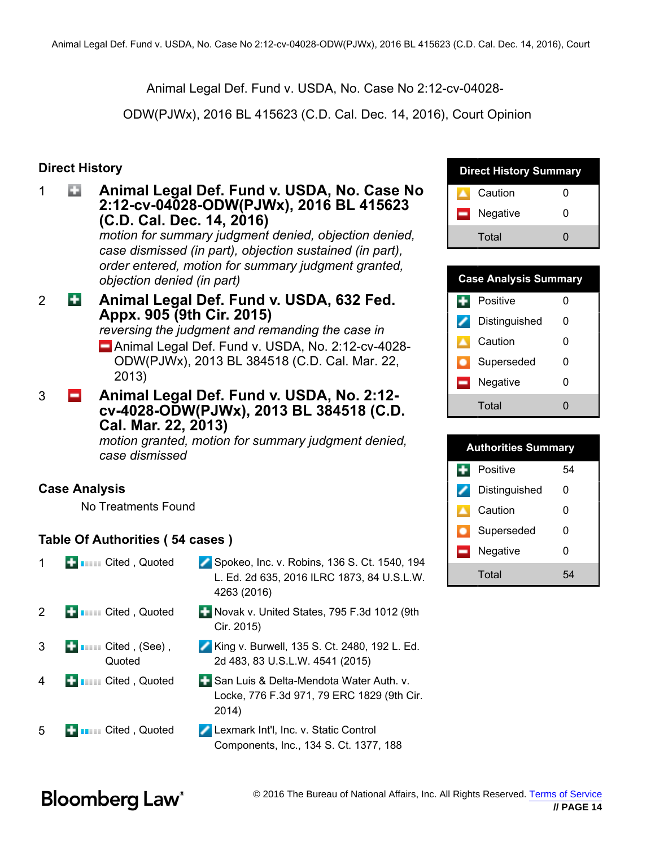Animal Legal Def. Fund v. USDA, No. Case No 2:12-cv-04028-

ODW(PJWx), 2016 BL 415623 (C.D. Cal. Dec. 14, 2016), Court Opinion

#### **Direct History**

## 1 **Animal Legal Def. Fund v. USDA, No. Case No 2:12-cv-04028-ODW(PJWx), 2016 BL 415623 (C.D. Cal. Dec. 14, 2016)**

*motion for summary judgment denied, objection denied, case dismissed (in part), objection sustained (in part), order entered, motion for summary judgment granted, objection denied (in part)*

## 2 **Animal Legal Def. Fund v. USDA, 632 Fed. Appx. 905 (9th Cir. 2015)**

*reversing the judgment and remanding the case in* Animal Legal Def. Fund v. USDA, No. 2:12-cv-4028-ODW(PJWx), 2013 BL 384518 (C.D. Cal. Mar. 22, 2013)

## 3 **Animal Legal Def. Fund v. USDA, No. 2:12 cv-4028-ODW(PJWx), 2013 BL 384518 (C.D. Cal. Mar. 22, 2013)**

*motion granted, motion for summary judgment denied, case dismissed*

#### **Case Analysis**

No Treatments Found

#### **Table Of Authorities ( 54 cases )**

|   | <b>Control</b> Cited, Quoted             | Spokeo, Inc. v. Robins, 136 S. Ct. 1540, 194<br>L. Ed. 2d 635, 2016 ILRC 1873, 84 U.S.L.W.<br>4263 (2016) |
|---|------------------------------------------|-----------------------------------------------------------------------------------------------------------|
| 2 | <b>Cited, Quoted</b>                     | Novak v. United States, 795 F.3d 1012 (9th<br>Cir. 2015)                                                  |
| 3 | <b>Example 2</b> Cited, (See),<br>Quoted | King v. Burwell, 135 S. Ct. 2480, 192 L. Ed.<br>2d 483, 83 U.S.L.W. 4541 (2015)                           |
| 4 | <b>Control</b> Cited, Quoted             | San Luis & Delta-Mendota Water Auth. v.<br>Locke, 776 F.3d 971, 79 ERC 1829 (9th Cir.<br>2014)            |
| 5 | <b>Example 2</b> Cited, Quoted           | Lexmark Int'l, Inc. v. Static Control<br>Components, Inc., 134 S. Ct. 1377, 188                           |

| <b>Direct History Summary</b> |              |  |
|-------------------------------|--------------|--|
| Caution                       | O            |  |
| Negative                      | O            |  |
| Total                         | $\mathbf{I}$ |  |



| <b>Authorities Summary</b> |               |    |
|----------------------------|---------------|----|
|                            | Positive      | 54 |
| ╭                          | Distinguished | ი  |
|                            | Caution       | ი  |
| $\bullet$                  | Superseded    | ი  |
| $\blacksquare$             | Negative      | ი  |
|                            | Total         | 54 |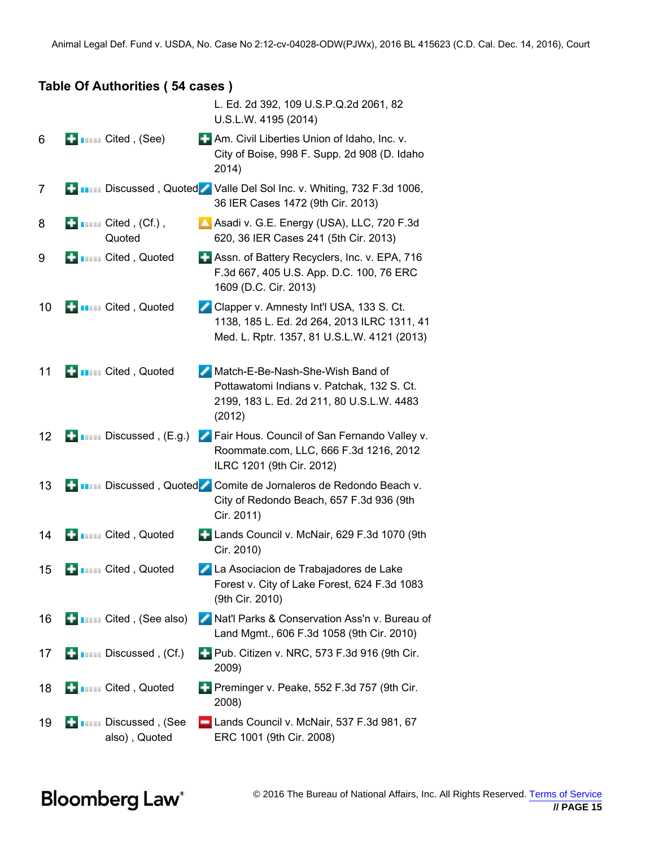| L. Ed. 2d 392. 109 U.S.P.Q.2d 2061. 82 |
|----------------------------------------|
| U.S.L.W. 4195 (2014)                   |

36 IER Cases 1472 (9th Cir. 2013)

- 6 **Cited , (See) Cited , (See) Communist Exercise** Union of Idaho, Inc. v. City of Boise, 998 F. Supp. 2d 908 (D. Idaho 2014) 7 **Primi** Discussed , Quoted Valle Del Sol Inc. v. Whiting, 732 F.3d 1006,
- $8 \qquad \qquad$  **Cited** , (Cf.), Quoted Asadi v. G.E. Energy (USA), LLC, 720 F.3d 620, 36 IER Cases 241 (5th Cir. 2013)
- 9 **H** Cited , Quoted  **Assn. of Battery Recyclers, Inc. v. EPA, 716** F.3d 667, 405 U.S. App. D.C. 100, 76 ERC 1609 (D.C. Cir. 2013)
- 10 **F** FILE Cited , Quoted  **Clapper v. Amnesty Int'l USA, 133 S. Ct.** 1138, 185 L. Ed. 2d 264, 2013 ILRC 1311, 41 Med. L. Rptr. 1357, 81 U.S.L.W. 4121 (2013)
- 11 **Cited, Quoted Z** Match-E-Be-Nash-She-Wish Band of Pottawatomi Indians v. Patchak, 132 S. Ct. 2199, 183 L. Ed. 2d 211, 80 U.S.L.W. 4483 (2012)
- 12 **+ Digiple Eq.** (E.g.) **2** Fair Hous. Council of San Fernando Valley v. Roommate.com, LLC, 666 F.3d 1216, 2012 ILRC 1201 (9th Cir. 2012)
- 13 **+ Discussed**, Quoted **Comite de Jornaleros de Redondo Beach v.** City of Redondo Beach, 657 F.3d 936 (9th Cir. 2011)
- 14 **Cited**, Quoted **Cited Cuncil v. McNair, 629 F.3d 1070 (9th** Cir. 2010)
- 15 **L**um Cited, Quoted  **La Asociacion de Trabajadores de Lake** Forest v. City of Lake Forest, 624 F.3d 1083 (9th Cir. 2010)
- 16 **+ Cited** , (See also) **A** Nat'l Parks & Conservation Ass'n v. Bureau of Land Mgmt., 606 F.3d 1058 (9th Cir. 2010)
- 17 **+ Discussed** , (Cf.) **+ Pub. Citizen v. NRC, 573 F.3d 916 (9th Cir.** 2009)
- 18 **Cited**, Quoted **Cited** Preminger v. Peake, 552 F.3d 757 (9th Cir. 2008)
- 19 **Discussed**, (See also) , Quoted Lands Council v. McNair, 537 F.3d 981, 67 ERC 1001 (9th Cir. 2008)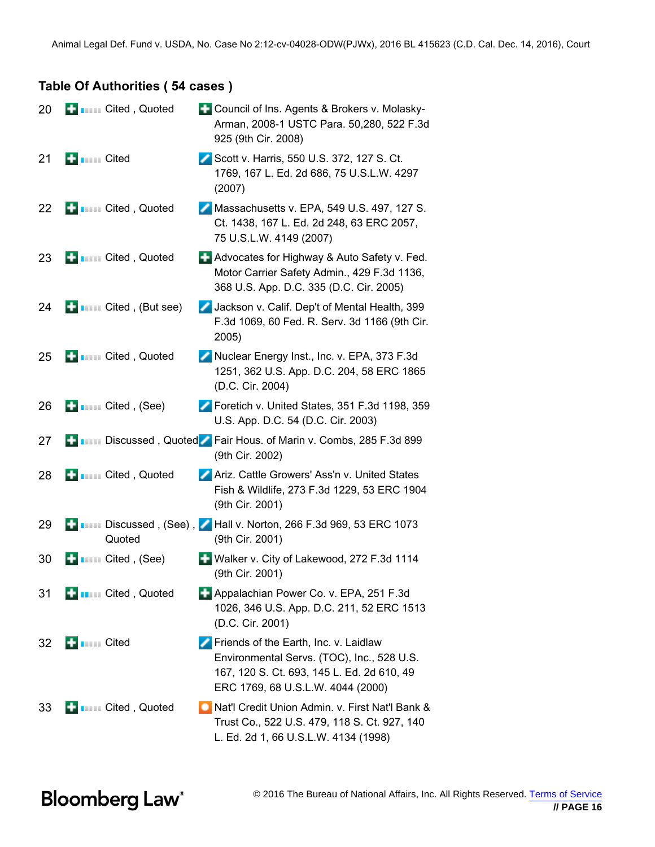| 20 | <b>Control</b> Cited, Quoted        | Council of Ins. Agents & Brokers v. Molasky-<br>Arman, 2008-1 USTC Para. 50,280, 522 F.3d<br>925 (9th Cir. 2008)                                                       |
|----|-------------------------------------|------------------------------------------------------------------------------------------------------------------------------------------------------------------------|
| 21 | <b>HRITTLE</b> Cited                | Scott v. Harris, 550 U.S. 372, 127 S. Ct.<br>1769, 167 L. Ed. 2d 686, 75 U.S.L.W. 4297<br>(2007)                                                                       |
| 22 | <b>External Cited, Quoted</b>       | Massachusetts v. EPA, 549 U.S. 497, 127 S.<br>Ct. 1438, 167 L. Ed. 2d 248, 63 ERC 2057,<br>75 U.S.L.W. 4149 (2007)                                                     |
| 23 | <b>THEFT</b> Cited, Quoted          | Advocates for Highway & Auto Safety v. Fed.<br>Motor Carrier Safety Admin., 429 F.3d 1136,<br>368 U.S. App. D.C. 335 (D.C. Cir. 2005)                                  |
| 24 | <b>ED ITTEL</b> Cited, (But see)    | Jackson v. Calif. Dep't of Mental Health, 399<br>F.3d 1069, 60 Fed. R. Serv. 3d 1166 (9th Cir.<br>2005)                                                                |
| 25 | <b>Cited, Quoted</b>                | Nuclear Energy Inst., Inc. v. EPA, 373 F.3d<br>1251, 362 U.S. App. D.C. 204, 58 ERC 1865<br>(D.C. Cir. 2004)                                                           |
| 26 | <b>Example 2</b> Cited, (See)       | Foretich v. United States, 351 F.3d 1198, 359<br>U.S. App. D.C. 54 (D.C. Cir. 2003)                                                                                    |
| 27 |                                     | <b>The Tate of National Property Company</b> Discussed, Quoted <b>A</b> Fair Hous. of Marin v. Combs, 285 F.3d 899<br>(9th Cir. 2002)                                  |
| 28 | <b>Cited, Quoted</b>                | Ariz. Cattle Growers' Ass'n v. United States<br>Fish & Wildlife, 273 F.3d 1229, 53 ERC 1904<br>(9th Cir. 2001)                                                         |
| 29 | Quoted                              | <b>T</b> TIME Discussed, (See), <b>A</b> Hall v. Norton, 266 F.3d 969, 53 ERC 1073<br>(9th Cir. 2001)                                                                  |
| 30 | <b>External Cited</b> , (See)       | Walker v. City of Lakewood, 272 F.3d 1114<br>(9th Cir. 2001)                                                                                                           |
| 31 | <b>Cited, Quoted</b>                | Appalachian Power Co. v. EPA, 251 F.3d<br>1026, 346 U.S. App. D.C. 211, 52 ERC 1513<br>(D.C. Cir. 2001)                                                                |
| 32 | <b>H</b> <sub>IIIIII</sub> Cited    | Friends of the Earth, Inc. v. Laidlaw<br>Environmental Servs. (TOC), Inc., 528 U.S.<br>167, 120 S. Ct. 693, 145 L. Ed. 2d 610, 49<br>ERC 1769, 68 U.S.L.W. 4044 (2000) |
| 33 | <b>THEFT EXECUTED</b> Cited, Quoted | Nat'l Credit Union Admin. v. First Nat'l Bank &<br>Trust Co., 522 U.S. 479, 118 S. Ct. 927, 140<br>L. Ed. 2d 1, 66 U.S.L.W. 4134 (1998)                                |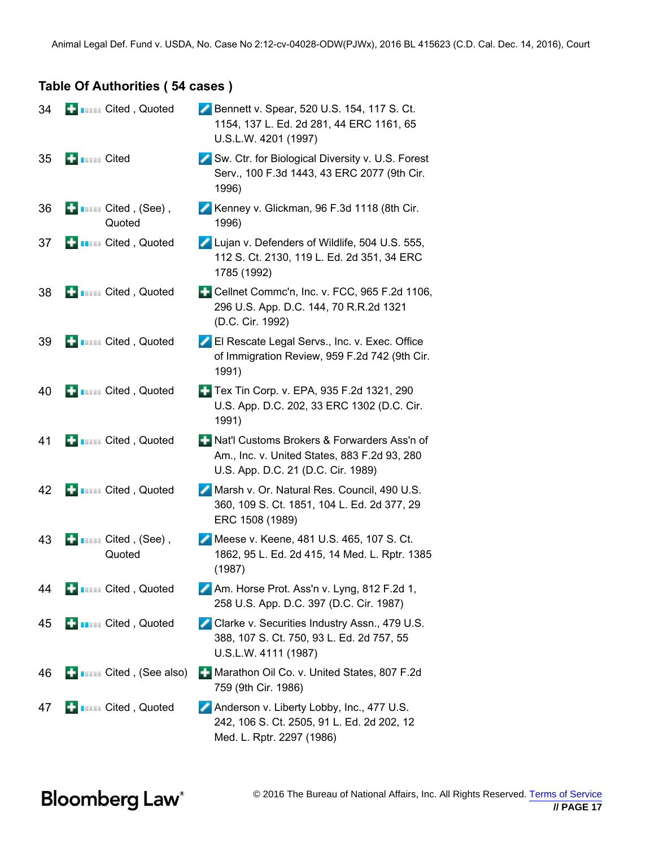| 34 | <b>Control</b> Cited, Quoted             | Bennett v. Spear, 520 U.S. 154, 117 S. Ct.<br>1154, 137 L. Ed. 2d 281, 44 ERC 1161, 65<br>U.S.L.W. 4201 (1997)                    |
|----|------------------------------------------|-----------------------------------------------------------------------------------------------------------------------------------|
| 35 | <b>H</b> um Cited                        | ✔ Sw. Ctr. for Biological Diversity v. U.S. Forest<br>Serv., 100 F.3d 1443, 43 ERC 2077 (9th Cir.<br>1996)                        |
| 36 | <b>Example 2</b> Cited, (See),<br>Quoted | Kenney v. Glickman, 96 F.3d 1118 (8th Cir.<br>1996)                                                                               |
| 37 | <b>Cited, Quoted</b>                     | Lujan v. Defenders of Wildlife, 504 U.S. 555,<br>112 S. Ct. 2130, 119 L. Ed. 2d 351, 34 ERC<br>1785 (1992)                        |
| 38 | <b>External Cited</b> , Quoted           | Ellnet Commc'n, Inc. v. FCC, 965 F.2d 1106,<br>296 U.S. App. D.C. 144, 70 R.R.2d 1321<br>(D.C. Cir. 1992)                         |
| 39 | <b>THEFT EXECUTED</b> Cited, Quoted      | El Rescate Legal Servs., Inc. v. Exec. Office<br>of Immigration Review, 959 F.2d 742 (9th Cir.<br>1991)                           |
| 40 | <b>Control</b> Cited, Quoted             | <b>Tex Tin Corp. v. EPA, 935 F.2d 1321, 290</b><br>U.S. App. D.C. 202, 33 ERC 1302 (D.C. Cir.<br>1991)                            |
| 41 | <b>Control</b> Cited, Quoted             | Nat'l Customs Brokers & Forwarders Ass'n of<br>Am., Inc. v. United States, 883 F.2d 93, 280<br>U.S. App. D.C. 21 (D.C. Cir. 1989) |
| 42 | <b>EDITION</b> Cited, Quoted             | Marsh v. Or. Natural Res. Council, 490 U.S.<br>360, 109 S. Ct. 1851, 104 L. Ed. 2d 377, 29<br>ERC 1508 (1989)                     |
| 43 | <b>Communicated</b> , (See),<br>Quoted   | Meese v. Keene, 481 U.S. 465, 107 S. Ct.<br>1862, 95 L. Ed. 2d 415, 14 Med. L. Rptr. 1385<br>(1987)                               |
| 44 | <b>External Cited, Quoted</b>            | Am. Horse Prot. Ass'n v. Lyng, 812 F.2d 1,<br>258 U.S. App. D.C. 397 (D.C. Cir. 1987)                                             |
| 45 | <b>External Cited, Quoted</b>            | Clarke v. Securities Industry Assn., 479 U.S.<br>388, 107 S. Ct. 750, 93 L. Ed. 2d 757, 55<br>U.S.L.W. 4111 (1987)                |
| 46 | <b>ED ITTLE</b> Cited, (See also)        | Marathon Oil Co. v. United States, 807 F.2d<br>759 (9th Cir. 1986)                                                                |
| 47 | <b>EDITION</b> Cited, Quoted             | Anderson v. Liberty Lobby, Inc., 477 U.S.<br>242, 106 S. Ct. 2505, 91 L. Ed. 2d 202, 12<br>Med. L. Rptr. 2297 (1986)              |

**Bloomberg Law®**